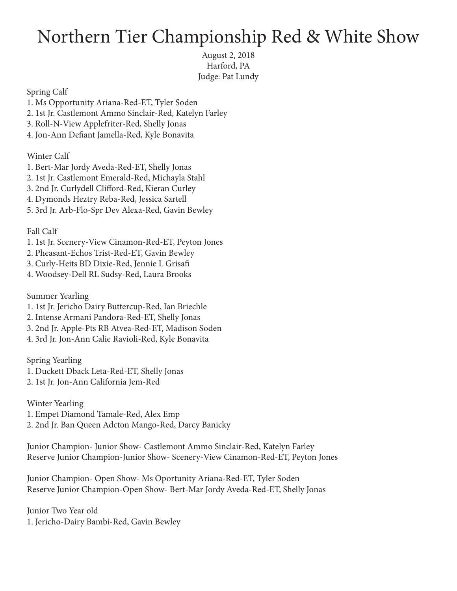## Northern Tier Championship Red & White Show

August 2, 2018 Harford, PA Judge: Pat Lundy

Spring Calf

- 1. Ms Opportunity Ariana-Red-ET, Tyler Soden
- 2. 1st Jr. Castlemont Ammo Sinclair-Red, Katelyn Farley
- 3. Roll-N-View Applefriter-Red, Shelly Jonas
- 4. Jon-Ann Defiant Jamella-Red, Kyle Bonavita

Winter Calf

- 1. Bert-Mar Jordy Aveda-Red-ET, Shelly Jonas
- 2. 1st Jr. Castlemont Emerald-Red, Michayla Stahl
- 3. 2nd Jr. Curlydell Clifford-Red, Kieran Curley
- 4. Dymonds Heztry Reba-Red, Jessica Sartell
- 5. 3rd Jr. Arb-Flo-Spr Dev Alexa-Red, Gavin Bewley

## Fall Calf

- 1. 1st Jr. Scenery-View Cinamon-Red-ET, Peyton Jones
- 2. Pheasant-Echos Trist-Red-ET, Gavin Bewley
- 3. Curly-Heits BD Dixie-Red, Jennie L Grisafi
- 4. Woodsey-Dell RL Sudsy-Red, Laura Brooks

Summer Yearling

- 1. 1st Jr. Jericho Dairy Buttercup-Red, Ian Briechle
- 2. Intense Armani Pandora-Red-ET, Shelly Jonas
- 3. 2nd Jr. Apple-Pts RB Atvea-Red-ET, Madison Soden
- 4. 3rd Jr. Jon-Ann Calie Ravioli-Red, Kyle Bonavita

Spring Yearling 1. Duckett Dback Leta-Red-ET, Shelly Jonas 2. 1st Jr. Jon-Ann California Jem-Red

Winter Yearling

1. Empet Diamond Tamale-Red, Alex Emp

2. 2nd Jr. Ban Queen Adcton Mango-Red, Darcy Banicky

Junior Champion- Junior Show- Castlemont Ammo Sinclair-Red, Katelyn Farley Reserve Junior Champion-Junior Show- Scenery-View Cinamon-Red-ET, Peyton Jones

Junior Champion- Open Show- Ms Oportunity Ariana-Red-ET, Tyler Soden Reserve Junior Champion-Open Show- Bert-Mar Jordy Aveda-Red-ET, Shelly Jonas

Junior Two Year old 1. Jericho-Dairy Bambi-Red, Gavin Bewley